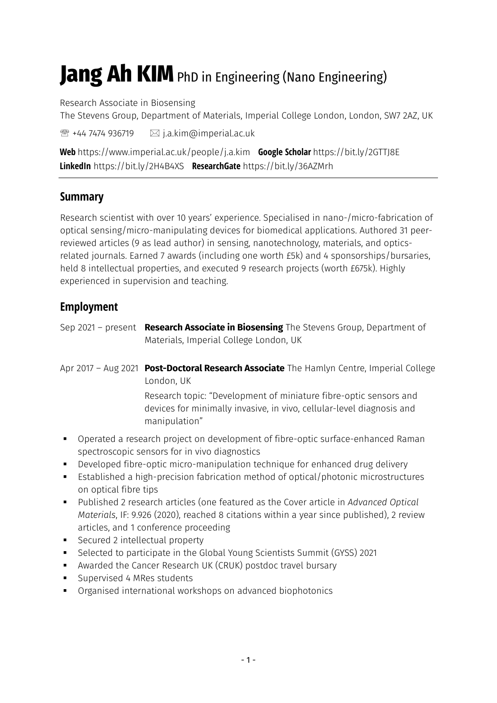# **Jang Ah KIM** PhD in Engineering (Nano Engineering)

Research Associate in Biosensing

The Stevens Group, Department of Materials, Imperial College London, London, SW7 2AZ, UK

 $\mathbb{R}$  +44 7474 936719  $\boxtimes$  j.a.kim@imperial.ac.uk

**Web** https://www.imperial.ac.uk/people/j.a.kim **Google Scholar** https://bit.ly/2GTTJ8E **LinkedIn** https://bit.ly/2H4B4XS **ResearchGate** https://bit.ly/36AZMrh

# **Summary**

Research scientist with over 10 years' experience. Specialised in nano-/micro-fabrication of optical sensing/micro-manipulating devices for biomedical applications. Authored 31 peerreviewed articles (9 as lead author) in sensing, nanotechnology, materials, and opticsrelated journals. Earned 7 awards (including one worth £5k) and 4 sponsorships/bursaries, held 8 intellectual properties, and executed 9 research projects (worth £675k). Highly experienced in supervision and teaching.

# **Employment**

Sep 2021 – present **Research Associate in Biosensing** The Stevens Group, Department of Materials, Imperial College London, UK

Apr 2017 – Aug 2021 **Post-Doctoral Research Associate** The Hamlyn Centre, Imperial College London, UK

Research topic: "Development of miniature fibre-optic sensors and devices for minimally invasive, in vivo, cellular-level diagnosis and manipulation"

- Operated a research project on development of fibre-optic surface-enhanced Raman spectroscopic sensors for in vivo diagnostics
- Developed fibre-optic micro-manipulation technique for enhanced drug delivery
- Established a high-precision fabrication method of optical/photonic microstructures on optical fibre tips
- Published 2 research articles (one featured as the Cover article in *Advanced Optical Materials*, IF: 9.926 (2020), reached 8 citations within a year since published), 2 review articles, and 1 conference proceeding
- Secured 2 intellectual property
- Selected to participate in the Global Young Scientists Summit (GYSS) 2021
- Awarded the Cancer Research UK (CRUK) postdoc travel bursary
- Supervised 4 MRes students
- Organised international workshops on advanced biophotonics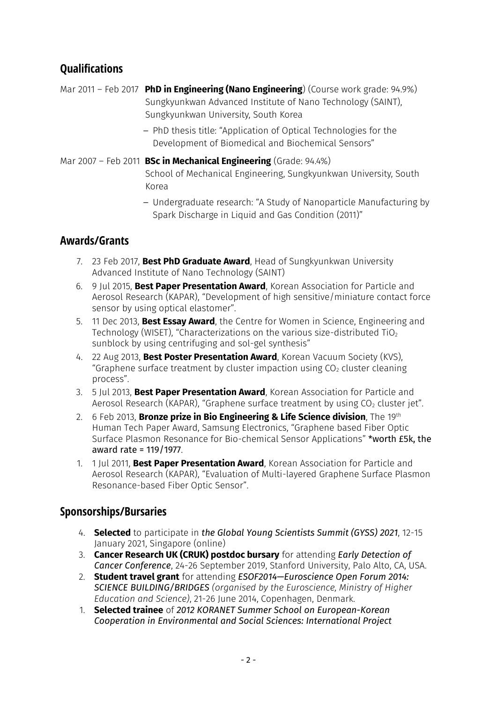# **Qualifications**

Mar 2011 – Feb 2017 **PhD in Engineering (Nano Engineering**) (Course work grade: 94.9%) Sungkyunkwan Advanced Institute of Nano Technology (SAINT), Sungkyunkwan University, South Korea

> – PhD thesis title: "Application of Optical Technologies for the Development of Biomedical and Biochemical Sensors"

Mar 2007 – Feb 2011 **BSc in Mechanical Engineering** (Grade: 94.4%)

School of Mechanical Engineering, Sungkyunkwan University, South Korea

– Undergraduate research: "A Study of Nanoparticle Manufacturing by Spark Discharge in Liquid and Gas Condition (2011)"

# **Awards/Grants**

- 7. 23 Feb 2017, **Best PhD Graduate Award**, Head of Sungkyunkwan University Advanced Institute of Nano Technology (SAINT)
- 6. 9 Jul 2015, **Best Paper Presentation Award**, Korean Association for Particle and Aerosol Research (KAPAR), "Development of high sensitive/miniature contact force sensor by using optical elastomer".
- 5. 11 Dec 2013, **Best Essay Award**, the Centre for Women in Science, Engineering and Technology (WISET), "Characterizations on the various size-distributed TiO<sup>2</sup> sunblock by using centrifuging and sol-gel synthesis"
- 4. 22 Aug 2013, **Best Poster Presentation Award**, Korean Vacuum Society (KVS), "Graphene surface treatment by cluster impaction using  $CO<sub>2</sub>$  cluster cleaning process".
- 3. 5 Jul 2013, **Best Paper Presentation Award**, Korean Association for Particle and Aerosol Research (KAPAR), "Graphene surface treatment by using  $CO<sub>2</sub>$  cluster jet".
- 2. 6 Feb 2013, **Bronze prize in Bio Engineering & Life Science division**, The 19th Human Tech Paper Award, Samsung Electronics, "Graphene based Fiber Optic Surface Plasmon Resonance for Bio-chemical Sensor Applications" \*worth £5k, the award rate = 119/1977.
- 1. 1 Jul 2011, **Best Paper Presentation Award**, Korean Association for Particle and Aerosol Research (KAPAR), "Evaluation of Multi-layered Graphene Surface Plasmon Resonance-based Fiber Optic Sensor".

## **Sponsorships/Bursaries**

- 4. **Selected** to participate in *the Global Young Scientists Summit (GYSS) 2021*, 12-15 January 2021, Singapore (online)
- 3. **Cancer Research UK (CRUK) postdoc bursary** for attending *Early Detection of Cancer Conference*, 24-26 September 2019, Stanford University, Palo Alto, CA, USA.
- 2. **Student travel grant** for attending *ESOF2014—Euroscience Open Forum 2014: SCIENCE BUILDING/BRIDGES (organised by the Euroscience, Ministry of Higher Education and Science)*, 21-26 June 2014, Copenhagen, Denmark.
- 1. **Selected trainee** of *2012 KORANET Summer School on European-Korean Cooperation in Environmental and Social Sciences: International Project*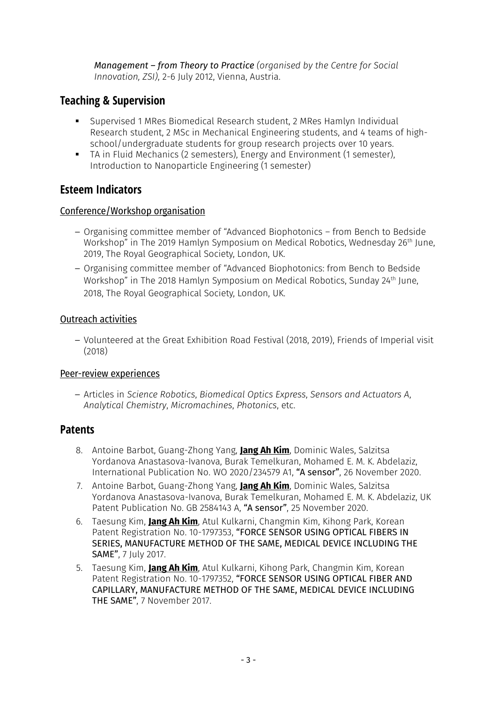*Management – from Theory to Practice (organised by the Centre for Social Innovation, ZSI)*, 2-6 July 2012, Vienna, Austria.

## **Teaching & Supervision**

- Supervised 1 MRes Biomedical Research student, 2 MRes Hamlyn Individual Research student, 2 MSc in Mechanical Engineering students, and 4 teams of highschool/undergraduate students for group research projects over 10 years.
- TA in Fluid Mechanics (2 semesters), Energy and Environment (1 semester), Introduction to Nanoparticle Engineering (1 semester)

# **Esteem Indicators**

## Conference/Workshop organisation

- Organising committee member of "Advanced Biophotonics from Bench to Bedside Workshop" in The 2019 Hamlyn Symposium on Medical Robotics, Wednesday 26<sup>th</sup> June, 2019, The Royal Geographical Society, London, UK.
- Organising committee member of "Advanced Biophotonics: from Bench to Bedside Workshop" in The 2018 Hamlyn Symposium on Medical Robotics, Sunday 24th June, 2018, The Royal Geographical Society, London, UK.

## Outreach activities

– Volunteered at the Great Exhibition Road Festival (2018, 2019), Friends of Imperial visit (2018)

## Peer-review experiences

– Articles in *Science Robotics*, *Biomedical Optics Express*, *Sensors and Actuators A*, *Analytical Chemistry*, *Micromachines*, *Photonics*, etc.

## **Patents**

- 8. Antoine Barbot, Guang-Zhong Yang, **Jang Ah Kim**, Dominic Wales, Salzitsa Yordanova Anastasova-Ivanova, Burak Temelkuran, Mohamed E. M. K. Abdelaziz, International Publication No. WO 2020/234579 A1, "A sensor", 26 November 2020.
- 7. Antoine Barbot, Guang-Zhong Yang, **Jang Ah Kim**, Dominic Wales, Salzitsa Yordanova Anastasova-Ivanova, Burak Temelkuran, Mohamed E. M. K. Abdelaziz, UK Patent Publication No. GB 2584143 A, "A sensor", 25 November 2020.
- 6. Taesung Kim, **Jang Ah Kim**, Atul Kulkarni, Changmin Kim, Kihong Park, Korean Patent Registration No. 10-1797353, "FORCE SENSOR USING OPTICAL FIBERS IN SERIES, MANUFACTURE METHOD OF THE SAME, MEDICAL DEVICE INCLUDING THE SAME", 7 July 2017.
- 5. Taesung Kim, **Jang Ah Kim**, Atul Kulkarni, Kihong Park, Changmin Kim, Korean Patent Registration No. 10-1797352, "FORCE SENSOR USING OPTICAL FIBER AND CAPILLARY, MANUFACTURE METHOD OF THE SAME, MEDICAL DEVICE INCLUDING THE SAME", 7 November 2017.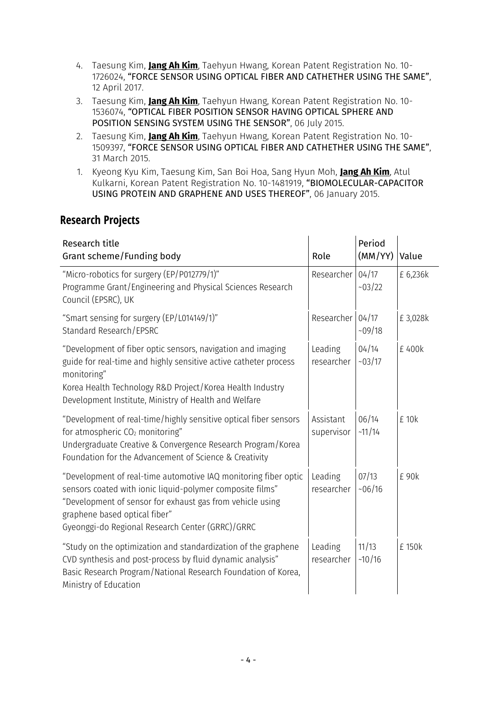- 4. Taesung Kim, **Jang Ah Kim**, Taehyun Hwang, Korean Patent Registration No. 10- 1726024, "FORCE SENSOR USING OPTICAL FIBER AND CATHETHER USING THE SAME", 12 April 2017.
- 3. Taesung Kim, **Jang Ah Kim**, Taehyun Hwang, Korean Patent Registration No. 10- 1536074, "OPTICAL FIBER POSITION SENSOR HAVING OPTICAL SPHERE AND POSITION SENSING SYSTEM USING THE SENSOR", 06 July 2015.
- 2. Taesung Kim, **Jang Ah Kim**, Taehyun Hwang, Korean Patent Registration No. 10- 1509397, "FORCE SENSOR USING OPTICAL FIBER AND CATHETHER USING THE SAME", 31 March 2015.
- 1. Kyeong Kyu Kim, Taesung Kim, San Boi Hoa, Sang Hyun Moh, **Jang Ah Kim**, Atul Kulkarni, Korean Patent Registration No. 10-1481919, "BIOMOLECULAR-CAPACITOR USING PROTEIN AND GRAPHENE AND USES THEREOF", 06 January 2015.

# **Research Projects**

| Research title<br>Grant scheme/Funding body                                                                                                                                                                                                                                    | Role                    | Period<br>(MM/YY) | Value    |
|--------------------------------------------------------------------------------------------------------------------------------------------------------------------------------------------------------------------------------------------------------------------------------|-------------------------|-------------------|----------|
| "Micro-robotics for surgery (EP/P012779/1)"<br>Programme Grant/Engineering and Physical Sciences Research<br>Council (EPSRC), UK                                                                                                                                               | Researcher              | 04/17<br>~103/22  | £ 6,236k |
| "Smart sensing for surgery (EP/L014149/1)"<br>Standard Research/EPSRC                                                                                                                                                                                                          | Researcher              | 04/17<br>~109/18  | £3,028k  |
| "Development of fiber optic sensors, navigation and imaging<br>guide for real-time and highly sensitive active catheter process<br>monitoring"<br>Korea Health Technology R&D Project/Korea Health Industry<br>Development Institute, Ministry of Health and Welfare           | Leading<br>researcher   | 04/14<br>~103/17  | £400k    |
| "Development of real-time/highly sensitive optical fiber sensors<br>for atmospheric CO <sub>2</sub> monitoring"<br>Undergraduate Creative & Convergence Research Program/Korea<br>Foundation for the Advancement of Science & Creativity                                       | Assistant<br>supervisor | 06/14<br>$-11/14$ | £ 10k    |
| "Development of real-time automotive IAQ monitoring fiber optic<br>sensors coated with ionic liquid-polymer composite films"<br>"Development of sensor for exhaust gas from vehicle using<br>graphene based optical fiber"<br>Gyeonggi-do Regional Research Center (GRRC)/GRRC | Leading<br>researcher   | 07/13<br>~106/16  | £90k     |
| "Study on the optimization and standardization of the graphene<br>CVD synthesis and post-process by fluid dynamic analysis"<br>Basic Research Program/National Research Foundation of Korea,<br>Ministry of Education                                                          | Leading<br>researcher   | 11/13<br>$-10/16$ | £ 150k   |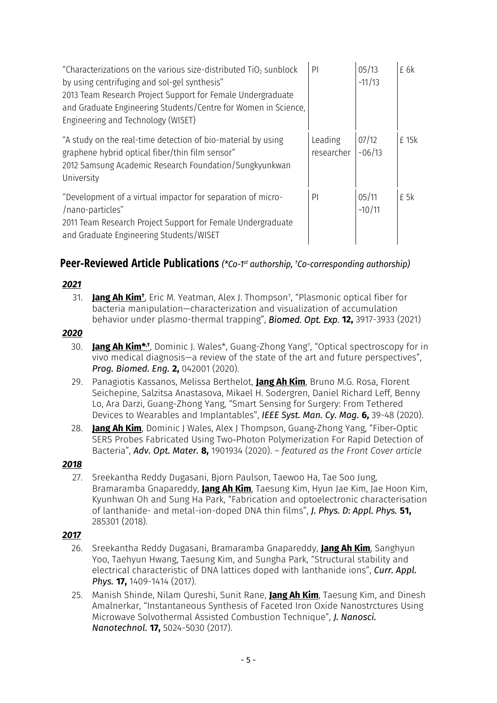| "Characterizations on the various size-distributed $TiO2$ sunblock<br>by using centrifuging and sol-gel synthesis"<br>2013 Team Research Project Support for Female Undergraduate<br>and Graduate Engineering Students/Centre for Women in Science,<br>Engineering and Technology (WISET) | P <sub>1</sub>        | 05/13<br>~11/13  | £6k   |
|-------------------------------------------------------------------------------------------------------------------------------------------------------------------------------------------------------------------------------------------------------------------------------------------|-----------------------|------------------|-------|
| "A study on the real-time detection of bio-material by using<br>graphene hybrid optical fiber/thin film sensor"<br>2012 Samsung Academic Research Foundation/Sungkyunkwan<br>University                                                                                                   | Leading<br>researcher | 07/12<br>~106/13 | £ 15k |
| "Development of a virtual impactor for separation of micro-<br>/nano-particles"<br>2011 Team Research Project Support for Female Undergraduate<br>and Graduate Engineering Students/WISET                                                                                                 | PI                    | 05/11<br>~10/11  | £ 5k  |

## **Peer-Reviewed Article Publications** *(\*Co-1 st authorship, †Co-corresponding authorship)*

## *2021*

31. **Jang Ah Kim†** , Eric M. Yeatman, Alex J. Thompson† , "Plasmonic optical fiber for bacteria manipulation—characterization and visualization of accumulation behavior under plasmo-thermal trapping", *Biomed. Opt. Exp.* **12,** 3917-3933 (2021)

#### *2020*

- 30. <u>Jang Ah Kim\*<sub>'</sub>†,</u> Dominic J. Wales\*, Guang-Zhong Yang†, "Optical spectroscopy for in vivo medical diagnosis—a review of the state of the art and future perspectives", *Prog. Biomed. Eng.* **2,** 042001 (2020).
- 29. Panagiotis Kassanos, Melissa Berthelot, **Jang Ah Kim**, Bruno M.G. Rosa, Florent Seichepine, Salzitsa Anastasova, Mikael H. Sodergren, Daniel Richard Leff, Benny Lo, Ara Darzi, Guang-Zhong Yang, "Smart Sensing for Surgery: From Tethered Devices to Wearables and Implantables", *IEEE Syst. Man. Cy. Mag.* **6,** 39-48 (2020).
- 28. **Jang Ah Kim**, Dominic J Wales, Alex J Thompson, Guang‐Zhong Yang, "Fiber‐Optic SERS Probes Fabricated Using Two‐Photon Polymerization For Rapid Detection of Bacteria", *Adv. Opt. Mater.* **8,** 1901934 (2020). *– featured as the Front Cover article*

### *2018*

27. Sreekantha Reddy Dugasani, Bjorn Paulson, Taewoo Ha, Tae Soo Jung, Bramaramba Gnapareddy, **Jang Ah Kim**, Taesung Kim, Hyun Jae Kim, Jae Hoon Kim, Kyunhwan Oh and Sung Ha Park, "Fabrication and optoelectronic characterisation of lanthanide- and metal-ion-doped DNA thin films", *J. Phys. D: Appl. Phys.* **51,** 285301 (2018).

### *2017*

- 26. Sreekantha Reddy Dugasani, Bramaramba Gnapareddy, **Jang Ah Kim**, Sanghyun Yoo, Taehyun Hwang, Taesung Kim, and Sungha Park, "Structural stability and electrical characteristic of DNA lattices doped with lanthanide ions", *Curr. Appl. Phys.* **17,** 1409-1414 (2017).
- 25. Manish Shinde, Nilam Qureshi, Sunit Rane, **Jang Ah Kim**, Taesung Kim, and Dinesh Amalnerkar, "Instantaneous Synthesis of Faceted Iron Oxide Nanostrctures Using Microwave Solvothermal Assisted Combustion Technique", *J. Nanosci. Nanotechnol.* **17,** 5024-5030 (2017).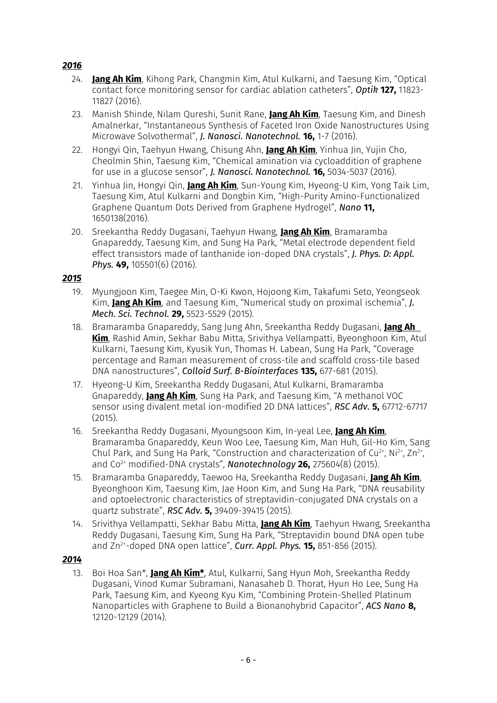## *2016*

- 24. **Jang Ah Kim**, Kihong Park, Changmin Kim, Atul Kulkarni, and Taesung Kim, "Optical contact force monitoring sensor for cardiac ablation catheters", *Optik* **127,** 11823- 11827 (2016).
- 23. Manish Shinde, Nilam Qureshi, Sunit Rane, **Jang Ah Kim**, Taesung Kim, and Dinesh Amalnerkar, "Instantaneous Synthesis of Faceted Iron Oxide Nanostructures Using Microwave Solvothermal", *J. Nanosci. Nanotechnol.* **16,** 1-7 (2016).
- 22. Hongyi Qin, Taehyun Hwang, Chisung Ahn, **Jang Ah Kim**, Yinhua Jin, Yujin Cho, Cheolmin Shin, Taesung Kim, "Chemical amination via cycloaddition of graphene for use in a glucose sensor", *J. Nanosci. Nanotechnol.* **16,** 5034-5037 (2016).
- 21. Yinhua Jin, Hongyi Qin, **Jang Ah Kim**, Sun-Young Kim, Hyeong-U Kim, Yong Taik Lim, Taesung Kim, Atul Kulkarni and Dongbin Kim, "High-Purity Amino-Functionalized Graphene Quantum Dots Derived from Graphene Hydrogel", *Nano* **11,** 1650138(2016).
- 20. Sreekantha Reddy Dugasani, Taehyun Hwang, **Jang Ah Kim**, Bramaramba Gnapareddy, Taesung Kim, and Sung Ha Park, "Metal electrode dependent field effect transistors made of lanthanide ion-doped DNA crystals", *J. Phys. D: Appl. Phys.* **49,** 105501(6) (2016).

### *2015*

- 19. Myungjoon Kim, Taegee Min, O-Ki Kwon, Hojoong Kim, Takafumi Seto, Yeongseok Kim, **Jang Ah Kim**, and Taesung Kim, "Numerical study on proximal ischemia", *J. Mech. Sci. Technol.* **29,** 5523-5529 (2015).
- 18. Bramaramba Gnapareddy, Sang Jung Ahn, Sreekantha Reddy Dugasani, **Jang Ah Kim**, Rashid Amin, Sekhar Babu Mitta, Srivithya Vellampatti, Byeonghoon Kim, Atul Kulkarni, Taesung Kim, Kyusik Yun, Thomas H. Labean, Sung Ha Park, "Coverage percentage and Raman measurement of cross-tile and scaffold cross-tile based DNA nanostructures", *Colloid Surf. B-Biointerfaces* **135,** 677-681 (2015).
- 17. Hyeong-U Kim, Sreekantha Reddy Dugasani, Atul Kulkarni, Bramaramba Gnapareddy, **Jang Ah Kim**, Sung Ha Park, and Taesung Kim, "A methanol VOC sensor using divalent metal ion-modified 2D DNA lattices", *RSC Adv.* **5,** 67712-67717 (2015).
- 16. Sreekantha Reddy Dugasani, Myoungsoon Kim, In-yeal Lee, **Jang Ah Kim**, Bramaramba Gnapareddy, Keun Woo Lee, Taesung Kim, Man Huh, Gil-Ho Kim, Sang Chul Park, and Sung Ha Park, "Construction and characterization of Cu<sup>2+</sup>, Ni<sup>2+</sup>, Zn<sup>2+</sup>, and Co2+ modified-DNA crystals", *Nanotechnology* **26,** 275604(8) (2015).
- 15. Bramaramba Gnapareddy, Taewoo Ha, Sreekantha Reddy Dugasani, **Jang Ah Kim**, Byeonghoon Kim, Taesung Kim, Jae Hoon Kim, and Sung Ha Park, "DNA reusability and optoelectronic characteristics of streptavidin-conjugated DNA crystals on a quartz substrate", *RSC Adv.* **5,** 39409-39415 (2015).
- 14. Srivithya Vellampatti, Sekhar Babu Mitta, **Jang Ah Kim**, Taehyun Hwang, Sreekantha Reddy Dugasani, Taesung Kim, Sung Ha Park, "Streptavidin bound DNA open tube and Zn2+ -doped DNA open lattice", *Curr. Appl. Phys.* **15,** 851-856 (2015).

### *2014*

13. Boi Hoa San\*, **Jang Ah Kim\***, Atul, Kulkarni, Sang Hyun Moh, Sreekantha Reddy Dugasani, Vinod Kumar Subramani, Nanasaheb D. Thorat, Hyun Ho Lee, Sung Ha Park, Taesung Kim, and Kyeong Kyu Kim, "Combining Protein-Shelled Platinum Nanoparticles with Graphene to Build a Bionanohybrid Capacitor", *ACS Nano* **8,** 12120-12129 (2014).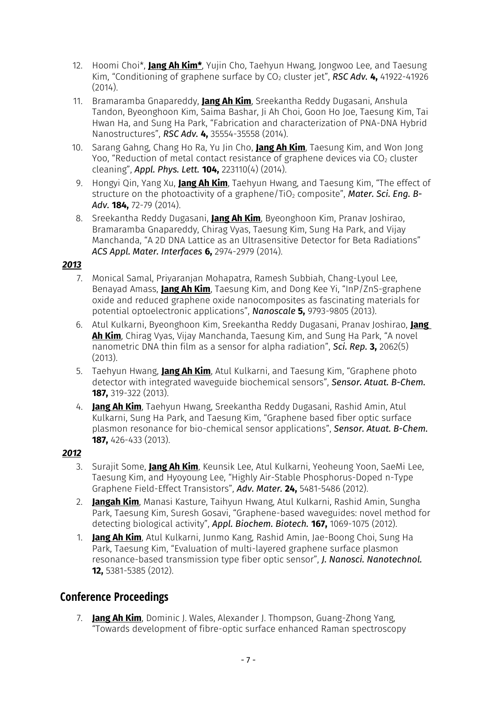- 12. Hoomi Choi\*, **Jang Ah Kim\***, Yujin Cho, Taehyun Hwang, Jongwoo Lee, and Taesung Kim, "Conditioning of graphene surface by CO<sub>2</sub> cluster jet", *RSC Adv. 4***,** 41922-41926 (2014).
- 11. Bramaramba Gnapareddy, **Jang Ah Kim**, Sreekantha Reddy Dugasani, Anshula Tandon, Byeonghoon Kim, Saima Bashar, Ji Ah Choi, Goon Ho Joe, Taesung Kim, Tai Hwan Ha, and Sung Ha Park, "Fabrication and characterization of PNA-DNA Hybrid Nanostructures", *RSC Adv.* **4,** 35554-35558 (2014).
- 10. Sarang Gahng, Chang Ho Ra, Yu Jin Cho, **Jang Ah Kim**, Taesung Kim, and Won Jong Yoo, "Reduction of metal contact resistance of graphene devices via  $CO<sub>2</sub>$  cluster cleaning", *Appl. Phys. Lett.* **104,** 223110(4) (2014).
- 9. Hongyi Qin, Yang Xu, **Jang Ah Kim**, Taehyun Hwang, and Taesung Kim, "The effect of structure on the photoactivity of a graphene/TiO<sub>2</sub> composite", **Mater, Sci. Eng. B-***Adv.* **184,** 72-79 (2014).
- 8. Sreekantha Reddy Dugasani, **Jang Ah Kim**, Byeonghoon Kim, Pranav Joshirao, Bramaramba Gnapareddy, Chirag Vyas, Taesung Kim, Sung Ha Park, and Vijay Manchanda, "A 2D DNA Lattice as an Ultrasensitive Detector for Beta Radiations" *ACS Appl. Mater. Interfaces* **6,** 2974-2979 (2014).

### *2013*

- 7. Monical Samal, Priyaranjan Mohapatra, Ramesh Subbiah, Chang-Lyoul Lee, Benayad Amass, **Jang Ah Kim**, Taesung Kim, and Dong Kee Yi, "InP/ZnS-graphene oxide and reduced graphene oxide nanocomposites as fascinating materials for potential optoelectronic applications", *Nanoscale* **5,** 9793-9805 (2013).
- 6. Atul Kulkarni, Byeonghoon Kim, Sreekantha Reddy Dugasani, Pranav Joshirao, **Jang Ah Kim**, Chirag Vyas, Vijay Manchanda, Taesung Kim, and Sung Ha Park, "A novel nanometric DNA thin film as a sensor for alpha radiation", *Sci. Rep.* **3,** 2062(5) (2013).
- 5. Taehyun Hwang, **Jang Ah Kim**, Atul Kulkarni, and Taesung Kim, "Graphene photo detector with integrated waveguide biochemical sensors", *Sensor. Atuat. B-Chem.* **187,** 319-322 (2013).
- 4. **Jang Ah Kim**, Taehyun Hwang, Sreekantha Reddy Dugasani, Rashid Amin, Atul Kulkarni, Sung Ha Park, and Taesung Kim, "Graphene based fiber optic surface plasmon resonance for bio-chemical sensor applications", *Sensor. Atuat. B-Chem.* **187,** 426-433 (2013).

### *2012*

- 3. Surajit Some, **Jang Ah Kim**, Keunsik Lee, Atul Kulkarni, Yeoheung Yoon, SaeMi Lee, Taesung Kim, and Hyoyoung Lee, "Highly Air-Stable Phosphorus-Doped n-Type Graphene Field-Effect Transistors", *Adv. Mater.* **24,** 5481-5486 (2012).
- 2. **Jangah Kim**, Manasi Kasture, Taihyun Hwang, Atul Kulkarni, Rashid Amin, Sungha Park, Taesung Kim, Suresh Gosavi, "Graphene-based waveguides: novel method for detecting biological activity", *Appl. Biochem. Biotech.* **167,** 1069-1075 (2012).
- 1. **Jang Ah Kim**, Atul Kulkarni, Junmo Kang, Rashid Amin, Jae-Boong Choi, Sung Ha Park, Taesung Kim, "Evaluation of multi-layered graphene surface plasmon resonance-based transmission type fiber optic sensor", *J. Nanosci. Nanotechnol.* **12,** 5381-5385 (2012).

## **Conference Proceedings**

7. **Jang Ah Kim**, Dominic J. Wales, Alexander J. Thompson, Guang-Zhong Yang, "Towards development of fibre-optic surface enhanced Raman spectroscopy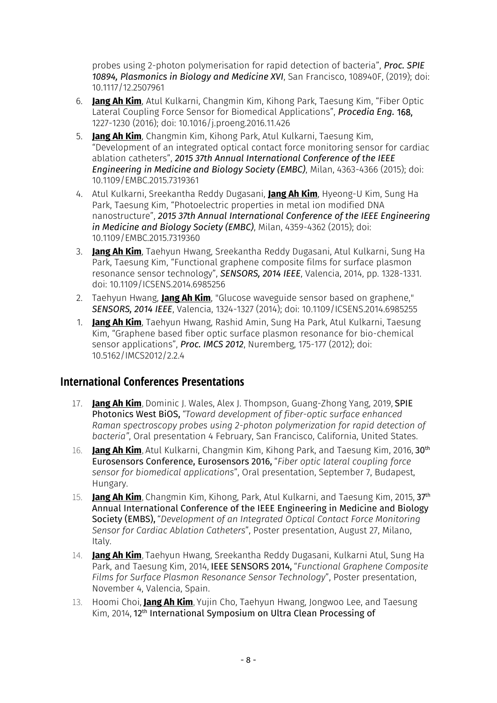probes using 2-photon polymerisation for rapid detection of bacteria", *Proc. SPIE 10894, Plasmonics in Biology and Medicine XVI*, San Francisco, 108940F, (2019); doi: 10.1117/12.2507961

- 6. **Jang Ah Kim**, Atul Kulkarni, Changmin Kim, Kihong Park, Taesung Kim, "Fiber Optic Lateral Coupling Force Sensor for Biomedical Applications", *Procedia Eng.* 168, 1227-1230 (2016); doi: 10.1016/j.proeng.2016.11.426
- 5. **Jang Ah Kim**, Changmin Kim, Kihong Park, Atul Kulkarni, Taesung Kim, "Development of an integrated optical contact force monitoring sensor for cardiac ablation catheters", *2015 37th Annual International Conference of the IEEE Engineering in Medicine and Biology Society (EMBC)*, Milan, 4363-4366 (2015); doi: 10.1109/EMBC.2015.7319361
- 4. Atul Kulkarni, Sreekantha Reddy Dugasani, **Jang Ah Kim**, Hyeong-U Kim, Sung Ha Park, Taesung Kim, "Photoelectric properties in metal ion modified DNA nanostructure", *2015 37th Annual International Conference of the IEEE Engineering in Medicine and Biology Society (EMBC)*, Milan, 4359-4362 (2015); doi: 10.1109/EMBC.2015.7319360
- 3. **Jang Ah Kim**, Taehyun Hwang, Sreekantha Reddy Dugasani, Atul Kulkarni, Sung Ha Park, Taesung Kim, "Functional graphene composite films for surface plasmon resonance sensor technology", *SENSORS, 2014 IEEE*, Valencia, 2014, pp. 1328-1331. doi: 10.1109/ICSENS.2014.6985256
- 2. Taehyun Hwang, **Jang Ah Kim**, "Glucose waveguide sensor based on graphene," *SENSORS, 2014 IEEE*, Valencia, 1324-1327 (2014); doi: 10.1109/ICSENS.2014.6985255
- 1. **Jang Ah Kim**, Taehyun Hwang, Rashid Amin, Sung Ha Park, Atul Kulkarni, Taesung Kim, "Graphene based fiber optic surface plasmon resonance for bio-chemical sensor applications", *Proc. IMCS 2012*, Nuremberg, 175-177 (2012); doi: 10.5162/IMCS2012/2.2.4

## **International Conferences Presentations**

- 17. **Jang Ah Kim**, Dominic J. Wales, Alex J. Thompson, Guang-Zhong Yang, 2019, SPIE Photonics West BiOS, *"Toward development of fiber-optic surface enhanced Raman spectroscopy probes using 2-photon polymerization for rapid detection of bacteria"*, Oral presentation 4 February, San Francisco, California, United States.
- 16. **Jang Ah Kim**, Atul Kulkarni, Changmin Kim, Kihong Park, and Taesung Kim, 2016, 30th Eurosensors Conference, Eurosensors 2016, "*Fiber optic lateral coupling force sensor for biomedical applications*", Oral presentation, September 7, Budapest, Hungary.
- 15. **Jang Ah Kim**, Changmin Kim, Kihong, Park, Atul Kulkarni, and Taesung Kim, 2015, 37th Annual International Conference of the IEEE Engineering in Medicine and Biology Society (EMBS), "*Development of an Integrated Optical Contact Force Monitoring Sensor for Cardiac Ablation Catheters*", Poster presentation, August 27, Milano, Italy.
- 14. **Jang Ah Kim**, Taehyun Hwang, Sreekantha Reddy Dugasani, Kulkarni Atul, Sung Ha Park, and Taesung Kim, 2014, IEEE SENSORS 2014, "*Functional Graphene Composite Films for Surface Plasmon Resonance Sensor Technology*", Poster presentation, November 4, Valencia, Spain.
- 13. Hoomi Choi, **Jang Ah Kim**, Yujin Cho, Taehyun Hwang, Jongwoo Lee, and Taesung Kim, 2014, 12th International Symposium on Ultra Clean Processing of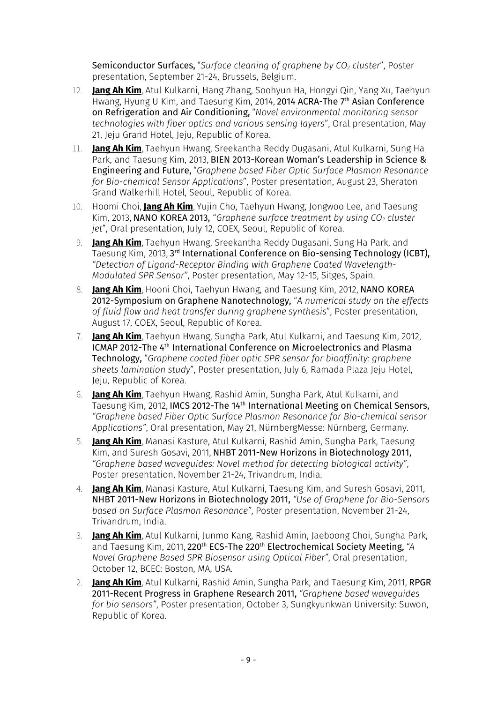Semiconductor Surfaces, "*Surface cleaning of graphene by CO<sup>2</sup> cluster*", Poster presentation, September 21-24, Brussels, Belgium.

- 12. **Jang Ah Kim**, Atul Kulkarni, Hang Zhang, Soohyun Ha, Hongyi Qin, Yang Xu, Taehyun Hwang, Hyung U Kim, and Taesung Kim, 2014, 2014 ACRA-The 7<sup>th</sup> Asian Conference on Refrigeration and Air Conditioning, "*Novel environmental monitoring sensor technologies with fiber optics and various sensing layers*", Oral presentation, May 21, Jeju Grand Hotel, Jeju, Republic of Korea.
- 11. **Jang Ah Kim**, Taehyun Hwang, Sreekantha Reddy Dugasani, Atul Kulkarni, Sung Ha Park, and Taesung Kim, 2013, BIEN 2013-Korean Woman's Leadership in Science & Engineering and Future, "*Graphene based Fiber Optic Surface Plasmon Resonance for Bio-chemical Sensor Applications*", Poster presentation, August 23, Sheraton Grand Walkerhill Hotel, Seoul, Republic of Korea.
- 10. Hoomi Choi, **Jang Ah Kim**, Yujin Cho, Taehyun Hwang, Jongwoo Lee, and Taesung Kim, 2013, NANO KOREA 2013, "*Graphene surface treatment by using CO<sup>2</sup> cluster jet*", Oral presentation, July 12, COEX, Seoul, Republic of Korea.
- 9. **Jang Ah Kim**, Taehyun Hwang, Sreekantha Reddy Dugasani, Sung Ha Park, and Taesung Kim, 2013, 3rd I**nternational Conference on Bio-sensing Technology (ICBT),** *"Detection of Ligand-Receptor Binding with Graphene Coated Wavelength-Modulated SPR Sensor"*, Poster presentation, May 12-15, Sitges, Spain.
- 8. **Jang Ah Kim**, Hooni Choi, Taehyun Hwang, and Taesung Kim, 2012, NANO KOREA 2012-Symposium on Graphene Nanotechnology, "*A numerical study on the effects of fluid flow and heat transfer during graphene synthesis*", Poster presentation, August 17, COEX, Seoul, Republic of Korea.
- 7. **Jang Ah Kim**, Taehyun Hwang, Sungha Park, Atul Kulkarni, and Taesung Kim, 2012, ICMAP 2012-The 4th International Conference on Microelectronics and Plasma Technology, "*Graphene coated fiber optic SPR sensor for bioaffinity: graphene sheets lamination study*", Poster presentation, July 6, Ramada Plaza Jeju Hotel, Jeju, Republic of Korea.
- 6. **Jang Ah Kim**, Taehyun Hwang, Rashid Amin, Sungha Park, Atul Kulkarni, and Taesung Kim, 2012, IMCS 2012-The 14th International Meeting on Chemical Sensors, *"Graphene based Fiber Optic Surface Plasmon Resonance for Bio-chemical sensor Applications"*, Oral presentation, May 21, NürnbergMesse: Nürnberg, Germany.
- 5. **Jang Ah Kim**, Manasi Kasture, Atul Kulkarni, Rashid Amin, Sungha Park, Taesung Kim, and Suresh Gosavi, 2011, NHBT 2011-New Horizons in Biotechnology 2011, *"Graphene based waveguides: Novel method for detecting biological activity"*, Poster presentation, November 21-24, Trivandrum, India.
- 4. **Jang Ah Kim**, Manasi Kasture, Atul Kulkarni, Taesung Kim, and Suresh Gosavi, 2011, NHBT 2011-New Horizons in Biotechnology 2011, *"Use of Graphene for Bio-Sensors based on Surface Plasmon Resonance"*, Poster presentation, November 21-24, Trivandrum, India.
- 3. **Jang Ah Kim**, Atul Kulkarni, Junmo Kang, Rashid Amin, Jaeboong Choi, Sungha Park, and Taesung Kim, 2011, 220<sup>th</sup> ECS-The 220<sup>th</sup> Electrochemical Society Meeting, "A *Novel Graphene Based SPR Biosensor using Optical Fiber"*, Oral presentation, October 12, BCEC: Boston, MA, USA.
- 2. **Jang Ah Kim**, Atul Kulkarni, Rashid Amin, Sungha Park, and Taesung Kim, 2011, RPGR 2011-Recent Progress in Graphene Research 2011, *"Graphene based waveguides for bio sensors"*, Poster presentation, October 3, Sungkyunkwan University: Suwon, Republic of Korea.